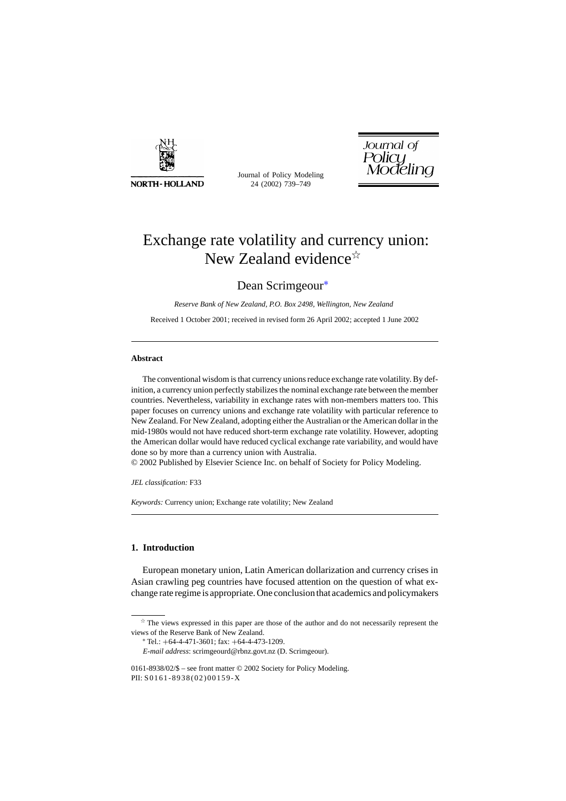

**NORTH-HOLLAND** 

Journal of Policy Modeling 24 (2002) 739–749

Journal of<br>Policy<br>Modeling

# Exchange rate volatility and currency union: New Zealand evidence $\mathbb{R}$

## Dean Scrimgeour∗

*Reserve Bank of New Zealand, P.O. Box 2498, Wellington, New Zealand*

Received 1 October 2001; received in revised form 26 April 2002; accepted 1 June 2002

#### **Abstract**

The conventional wisdom is that currency unions reduce exchange rate volatility. By definition, a currency union perfectly stabilizes the nominal exchange rate between the member countries. Nevertheless, variability in exchange rates with non-members matters too. This paper focuses on currency unions and exchange rate volatility with particular reference to New Zealand. For New Zealand, adopting either the Australian or the American dollar in the mid-1980s would not have reduced short-term exchange rate volatility. However, adopting the American dollar would have reduced cyclical exchange rate variability, and would have done so by more than a currency union with Australia.

© 2002 Published by Elsevier Science Inc. on behalf of Society for Policy Modeling.

*JEL classification:* F33

*Keywords:* Currency union; Exchange rate volatility; New Zealand

### **1. Introduction**

European monetary union, Latin American dollarization and currency crises in Asian crawling peg countries have focused attention on the question of what exchange rate regime is appropriate. One conclusion that academics and policymakers

 $*$  The views expressed in this paper are those of the author and do not necessarily represent the views of the Reserve Bank of New Zealand.

<sup>∗</sup> Tel.: +64-4-471-3601; fax: +64-4-473-1209.

*E-mail address*: scrimgeourd@rbnz.govt.nz (D. Scrimgeour).

<sup>0161-8938/02/\$ –</sup> see front matter © 2002 Society for Policy Modeling. PII: S0161-8938(02)00159-X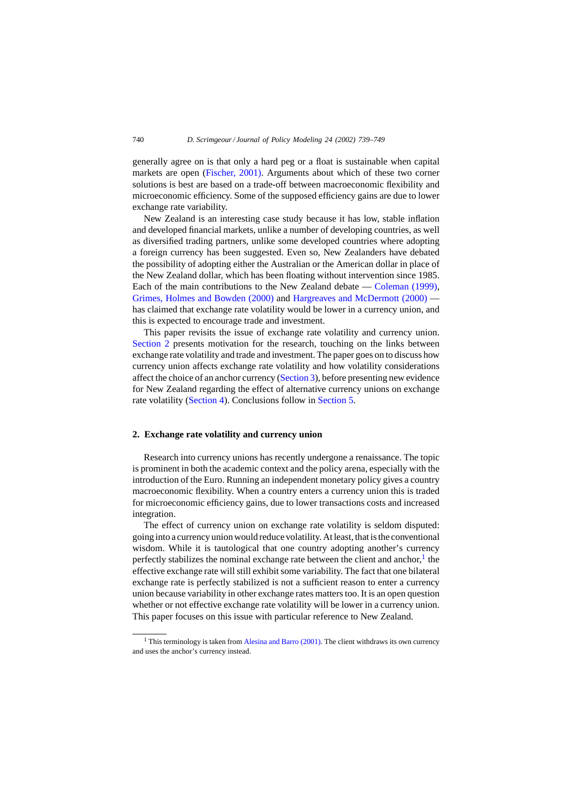generally agree on is that only a hard peg or a float is sustainable when capital markets are open [\(Fischer, 2001\).](#page--1-0) Arguments about which of these two corner solutions is best are based on a trade-off between macroeconomic flexibility and microeconomic efficiency. Some of the supposed efficiency gains are due to lower exchange rate variability.

New Zealand is an interesting case study because it has low, stable inflation and developed financial markets, unlike a number of developing countries, as well as diversified trading partners, unlike some developed countries where adopting a foreign currency has been suggested. Even so, New Zealanders have debated the possibility of adopting either the Australian or the American dollar in place of the New Zealand dollar, which has been floating without intervention since 1985. Each of the main contributions to the New Zealand debate — [Coleman \(1999\),](#page--1-0) [Grimes, Holmes and Bowden \(2000\)](#page--1-0) and [Hargreaves and McDermott \(2000\)](#page--1-0) has claimed that exchange rate volatility would be lower in a currency union, and this is expected to encourage trade and investment.

This paper revisits the issue of exchange rate volatility and currency union. Section 2 presents motivation for the research, touching on the links between exchange rate volatility and trade and investment. The paper goes on to discuss how currency union affects exchange rate volatility and how volatility considerations affect the choice of an anchor currency ([Section 3\),](#page--1-0) before presenting new evidence for New Zealand regarding the effect of alternative currency unions on exchange rate volatility [\(Section 4\).](#page--1-0) Conclusions follow in [Section 5.](#page--1-0)

### **2. Exchange rate volatility and currency union**

Research into currency unions has recently undergone a renaissance. The topic is prominent in both the academic context and the policy arena, especially with the introduction of the Euro. Running an independent monetary policy gives a country macroeconomic flexibility. When a country enters a currency union this is traded for microeconomic efficiency gains, due to lower transactions costs and increased integration.

The effect of currency union on exchange rate volatility is seldom disputed: going into a currency union would reduce volatility. At least, that is the conventional wisdom. While it is tautological that one country adopting another's currency perfectly stabilizes the nominal exchange rate between the client and anchor, $<sup>1</sup>$  the</sup> effective exchange rate will still exhibit some variability. The fact that one bilateral exchange rate is perfectly stabilized is not a sufficient reason to enter a currency union because variability in other exchange rates matters too. It is an open question whether or not effective exchange rate volatility will be lower in a currency union. This paper focuses on this issue with particular reference to New Zealand.

<sup>&</sup>lt;sup>1</sup> This terminology is taken from [Alesina and Barro \(2001\). T](#page--1-0)he client withdraws its own currency and uses the anchor's currency instead.